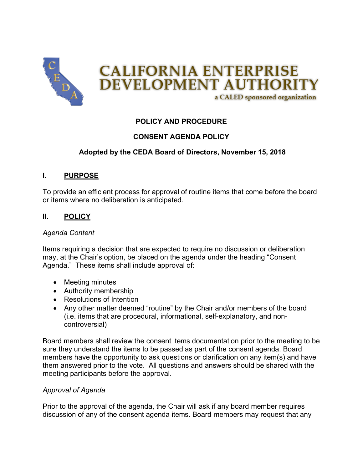

# **POLICY AND PROCEDURE**

# **CONSENT AGENDA POLICY**

## **Adopted by the CEDA Board of Directors, November 15, 2018**

## **I. PURPOSE**

To provide an efficient process for approval of routine items that come before the board or items where no deliberation is anticipated.

## **II. POLICY**

### *Agenda Content*

Items requiring a decision that are expected to require no discussion or deliberation may, at the Chair's option, be placed on the agenda under the heading "Consent Agenda." These items shall include approval of:

- Meeting minutes
- Authority membership
- Resolutions of Intention
- Any other matter deemed "routine" by the Chair and/or members of the board (i.e. items that are procedural, informational, self-explanatory, and noncontroversial)

Board members shall review the consent items documentation prior to the meeting to be sure they understand the items to be passed as part of the consent agenda. Board members have the opportunity to ask questions or clarification on any item(s) and have them answered prior to the vote. All questions and answers should be shared with the meeting participants before the approval.

#### *Approval of Agenda*

Prior to the approval of the agenda, the Chair will ask if any board member requires discussion of any of the consent agenda items. Board members may request that any